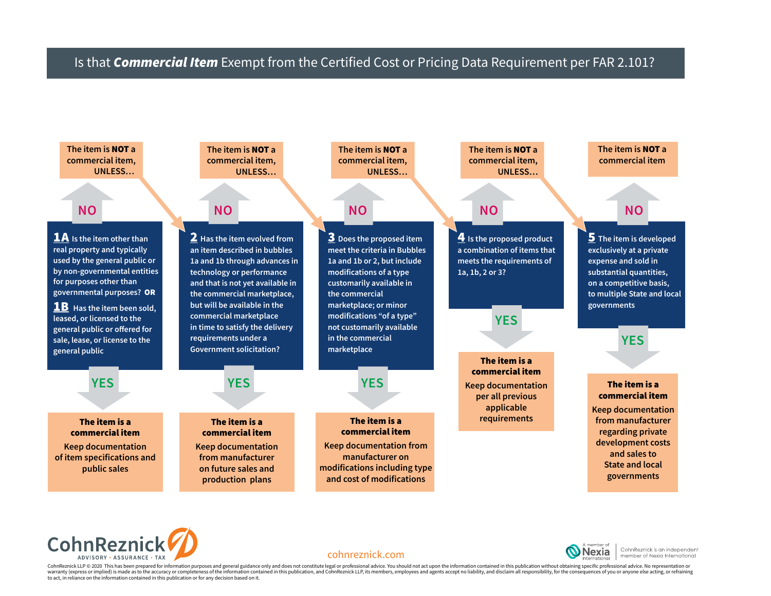## Is that *Commercial Item* Exempt from the Certified Cost or Pricing Data Requirement per FAR 2.101?









CohnReznick is an independent nember of Nexia International

CohnReznick LLP © 2020 This has been prepared for information purposes and general guidance only and does not constitute legal or professional advice. You should not act upon the information contained in this publication w warranty (express or implied) is made as to the accuracy or completeness of the information contained in this publication, and CohnReznick LLP, its members, employees and agents accept no liability, and disclaim all respon to act, in reliance on the information contained in this publication or for any decision based on it.